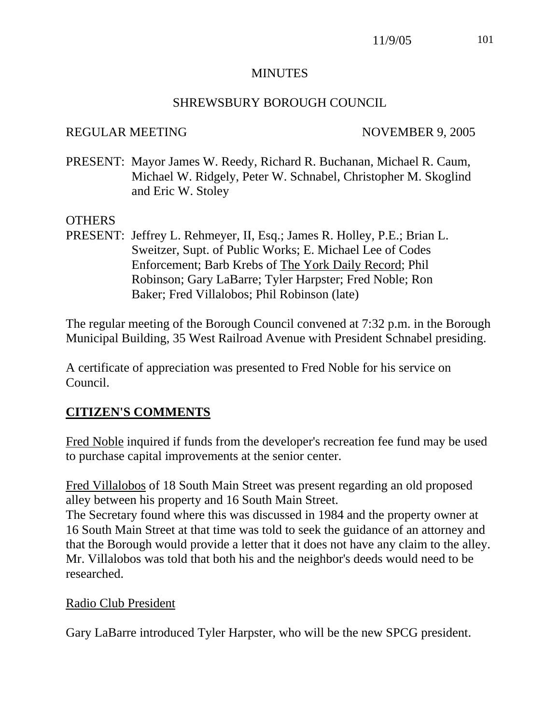## MINUTES

#### SHREWSBURY BOROUGH COUNCIL

#### REGULAR MEETING NOVEMBER 9, 2005

PRESENT: Mayor James W. Reedy, Richard R. Buchanan, Michael R. Caum, Michael W. Ridgely, Peter W. Schnabel, Christopher M. Skoglind and Eric W. Stoley

## OTHERS

PRESENT: Jeffrey L. Rehmeyer, II, Esq.; James R. Holley, P.E.; Brian L. Sweitzer, Supt. of Public Works; E. Michael Lee of Codes Enforcement; Barb Krebs of The York Daily Record; Phil Robinson; Gary LaBarre; Tyler Harpster; Fred Noble; Ron Baker; Fred Villalobos; Phil Robinson (late)

The regular meeting of the Borough Council convened at 7:32 p.m. in the Borough Municipal Building, 35 West Railroad Avenue with President Schnabel presiding.

A certificate of appreciation was presented to Fred Noble for his service on Council.

## **CITIZEN'S COMMENTS**

Fred Noble inquired if funds from the developer's recreation fee fund may be used to purchase capital improvements at the senior center.

Fred Villalobos of 18 South Main Street was present regarding an old proposed alley between his property and 16 South Main Street.

The Secretary found where this was discussed in 1984 and the property owner at 16 South Main Street at that time was told to seek the guidance of an attorney and that the Borough would provide a letter that it does not have any claim to the alley. Mr. Villalobos was told that both his and the neighbor's deeds would need to be researched.

#### Radio Club President

Gary LaBarre introduced Tyler Harpster, who will be the new SPCG president.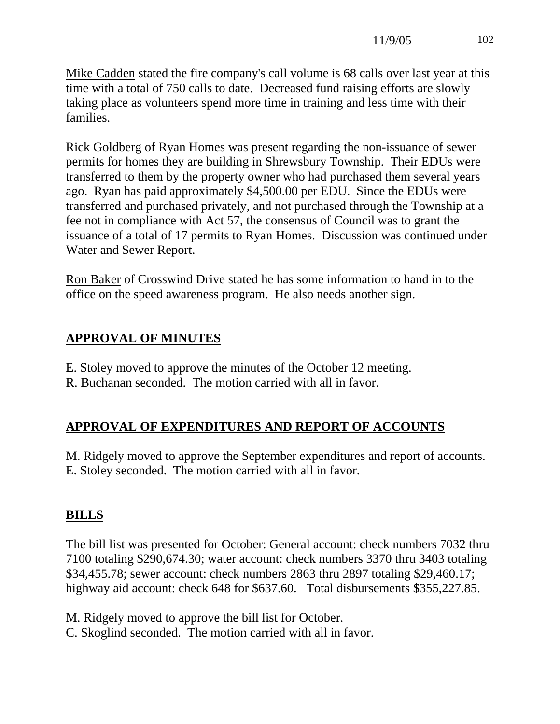Mike Cadden stated the fire company's call volume is 68 calls over last year at this time with a total of 750 calls to date. Decreased fund raising efforts are slowly taking place as volunteers spend more time in training and less time with their families.

Rick Goldberg of Ryan Homes was present regarding the non-issuance of sewer permits for homes they are building in Shrewsbury Township. Their EDUs were transferred to them by the property owner who had purchased them several years ago. Ryan has paid approximately \$4,500.00 per EDU. Since the EDUs were transferred and purchased privately, and not purchased through the Township at a fee not in compliance with Act 57, the consensus of Council was to grant the issuance of a total of 17 permits to Ryan Homes. Discussion was continued under Water and Sewer Report.

Ron Baker of Crosswind Drive stated he has some information to hand in to the office on the speed awareness program. He also needs another sign.

# **APPROVAL OF MINUTES**

- E. Stoley moved to approve the minutes of the October 12 meeting.
- R. Buchanan seconded. The motion carried with all in favor.

# **APPROVAL OF EXPENDITURES AND REPORT OF ACCOUNTS**

M. Ridgely moved to approve the September expenditures and report of accounts. E. Stoley seconded. The motion carried with all in favor.

# **BILLS**

The bill list was presented for October: General account: check numbers 7032 thru 7100 totaling \$290,674.30; water account: check numbers 3370 thru 3403 totaling \$34,455.78; sewer account: check numbers 2863 thru 2897 totaling \$29,460.17; highway aid account: check 648 for \$637.60. Total disbursements \$355,227.85.

M. Ridgely moved to approve the bill list for October.

C. Skoglind seconded. The motion carried with all in favor.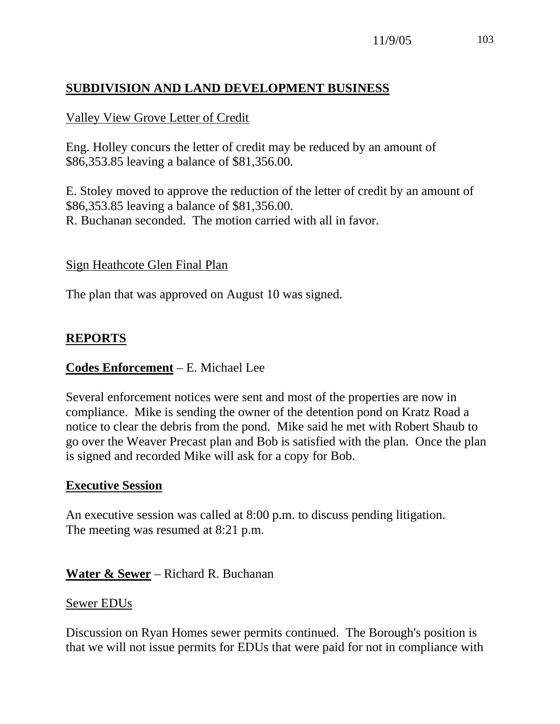# **SUBDIVISION AND LAND DEVELOPMENT BUSINESS**

#### Valley View Grove Letter of Credit

Eng. Holley concurs the letter of credit may be reduced by an amount of \$86,353.85 leaving a balance of \$81,356.00.

E. Stoley moved to approve the reduction of the letter of credit by an amount of \$86,353.85 leaving a balance of \$81,356.00. R. Buchanan seconded. The motion carried with all in favor.

#### Sign Heathcote Glen Final Plan

The plan that was approved on August 10 was signed.

## **REPORTS**

#### **Codes Enforcement** – E. Michael Lee

Several enforcement notices were sent and most of the properties are now in compliance. Mike is sending the owner of the detention pond on Kratz Road a notice to clear the debris from the pond. Mike said he met with Robert Shaub to go over the Weaver Precast plan and Bob is satisfied with the plan. Once the plan is signed and recorded Mike will ask for a copy for Bob.

#### **Executive Session**

An executive session was called at 8:00 p.m. to discuss pending litigation. The meeting was resumed at 8:21 p.m.

#### **Water & Sewer** – Richard R. Buchanan

#### Sewer EDUs

Discussion on Ryan Homes sewer permits continued. The Borough's position is that we will not issue permits for EDUs that were paid for not in compliance with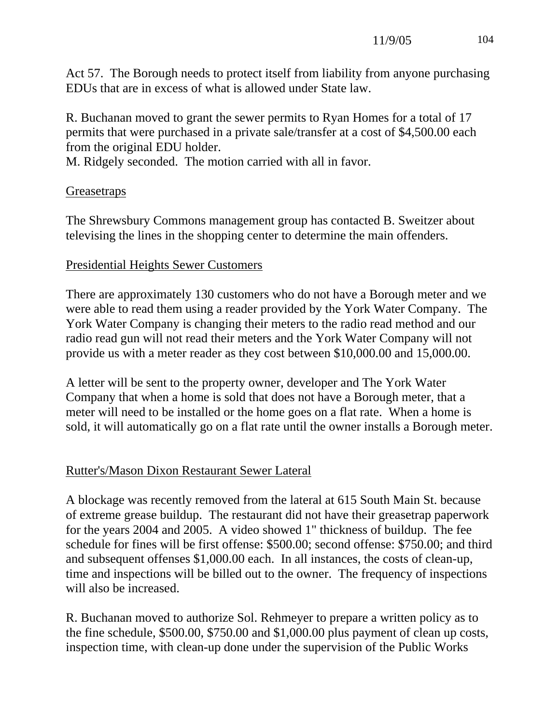Act 57. The Borough needs to protect itself from liability from anyone purchasing EDUs that are in excess of what is allowed under State law.

R. Buchanan moved to grant the sewer permits to Ryan Homes for a total of 17 permits that were purchased in a private sale/transfer at a cost of \$4,500.00 each from the original EDU holder.

M. Ridgely seconded. The motion carried with all in favor.

#### **Greasetraps**

The Shrewsbury Commons management group has contacted B. Sweitzer about televising the lines in the shopping center to determine the main offenders.

#### Presidential Heights Sewer Customers

There are approximately 130 customers who do not have a Borough meter and we were able to read them using a reader provided by the York Water Company. The York Water Company is changing their meters to the radio read method and our radio read gun will not read their meters and the York Water Company will not provide us with a meter reader as they cost between \$10,000.00 and 15,000.00.

A letter will be sent to the property owner, developer and The York Water Company that when a home is sold that does not have a Borough meter, that a meter will need to be installed or the home goes on a flat rate. When a home is sold, it will automatically go on a flat rate until the owner installs a Borough meter.

## Rutter's/Mason Dixon Restaurant Sewer Lateral

A blockage was recently removed from the lateral at 615 South Main St. because of extreme grease buildup. The restaurant did not have their greasetrap paperwork for the years 2004 and 2005. A video showed 1" thickness of buildup. The fee schedule for fines will be first offense: \$500.00; second offense: \$750.00; and third and subsequent offenses \$1,000.00 each. In all instances, the costs of clean-up, time and inspections will be billed out to the owner. The frequency of inspections will also be increased.

R. Buchanan moved to authorize Sol. Rehmeyer to prepare a written policy as to the fine schedule, \$500.00, \$750.00 and \$1,000.00 plus payment of clean up costs, inspection time, with clean-up done under the supervision of the Public Works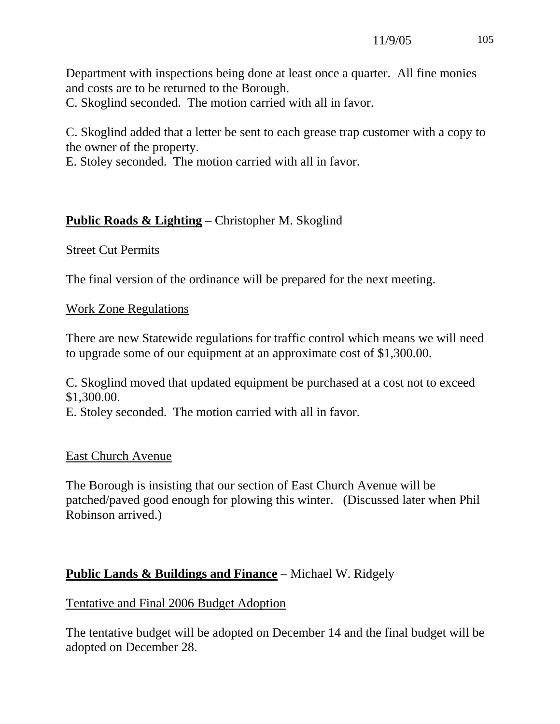Department with inspections being done at least once a quarter. All fine monies and costs are to be returned to the Borough.

C. Skoglind seconded. The motion carried with all in favor.

C. Skoglind added that a letter be sent to each grease trap customer with a copy to the owner of the property.

E. Stoley seconded. The motion carried with all in favor.

# **Public Roads & Lighting** – Christopher M. Skoglind

## **Street Cut Permits**

The final version of the ordinance will be prepared for the next meeting.

## Work Zone Regulations

There are new Statewide regulations for traffic control which means we will need to upgrade some of our equipment at an approximate cost of \$1,300.00.

C. Skoglind moved that updated equipment be purchased at a cost not to exceed \$1,300.00.

E. Stoley seconded. The motion carried with all in favor.

## East Church Avenue

The Borough is insisting that our section of East Church Avenue will be patched/paved good enough for plowing this winter. (Discussed later when Phil Robinson arrived.)

# **Public Lands & Buildings and Finance** – Michael W. Ridgely

## Tentative and Final 2006 Budget Adoption

The tentative budget will be adopted on December 14 and the final budget will be adopted on December 28.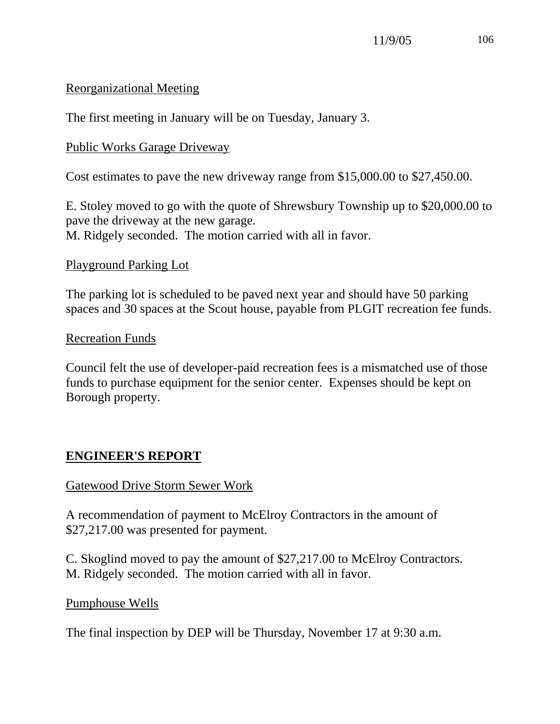## Reorganizational Meeting

The first meeting in January will be on Tuesday, January 3.

## Public Works Garage Driveway

Cost estimates to pave the new driveway range from \$15,000.00 to \$27,450.00.

E. Stoley moved to go with the quote of Shrewsbury Township up to \$20,000.00 to pave the driveway at the new garage. M. Ridgely seconded. The motion carried with all in favor.

## Playground Parking Lot

The parking lot is scheduled to be paved next year and should have 50 parking spaces and 30 spaces at the Scout house, payable from PLGIT recreation fee funds.

## Recreation Funds

Council felt the use of developer-paid recreation fees is a mismatched use of those funds to purchase equipment for the senior center. Expenses should be kept on Borough property.

# **ENGINEER'S REPORT**

# Gatewood Drive Storm Sewer Work

A recommendation of payment to McElroy Contractors in the amount of \$27,217.00 was presented for payment.

C. Skoglind moved to pay the amount of \$27,217.00 to McElroy Contractors. M. Ridgely seconded. The motion carried with all in favor.

## Pumphouse Wells

The final inspection by DEP will be Thursday, November 17 at 9:30 a.m.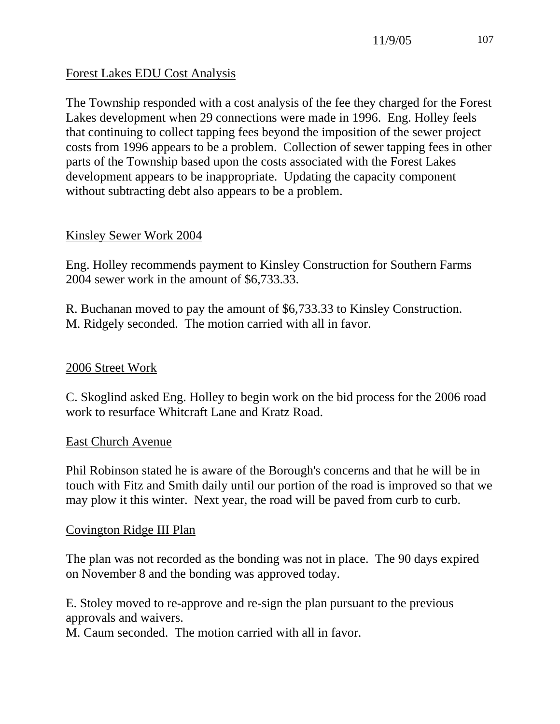## Forest Lakes EDU Cost Analysis

The Township responded with a cost analysis of the fee they charged for the Forest Lakes development when 29 connections were made in 1996. Eng. Holley feels that continuing to collect tapping fees beyond the imposition of the sewer project costs from 1996 appears to be a problem. Collection of sewer tapping fees in other parts of the Township based upon the costs associated with the Forest Lakes development appears to be inappropriate. Updating the capacity component without subtracting debt also appears to be a problem.

## Kinsley Sewer Work 2004

Eng. Holley recommends payment to Kinsley Construction for Southern Farms 2004 sewer work in the amount of \$6,733.33.

R. Buchanan moved to pay the amount of \$6,733.33 to Kinsley Construction. M. Ridgely seconded. The motion carried with all in favor.

## 2006 Street Work

C. Skoglind asked Eng. Holley to begin work on the bid process for the 2006 road work to resurface Whitcraft Lane and Kratz Road.

## East Church Avenue

Phil Robinson stated he is aware of the Borough's concerns and that he will be in touch with Fitz and Smith daily until our portion of the road is improved so that we may plow it this winter. Next year, the road will be paved from curb to curb.

## Covington Ridge III Plan

The plan was not recorded as the bonding was not in place. The 90 days expired on November 8 and the bonding was approved today.

E. Stoley moved to re-approve and re-sign the plan pursuant to the previous approvals and waivers.

M. Caum seconded. The motion carried with all in favor.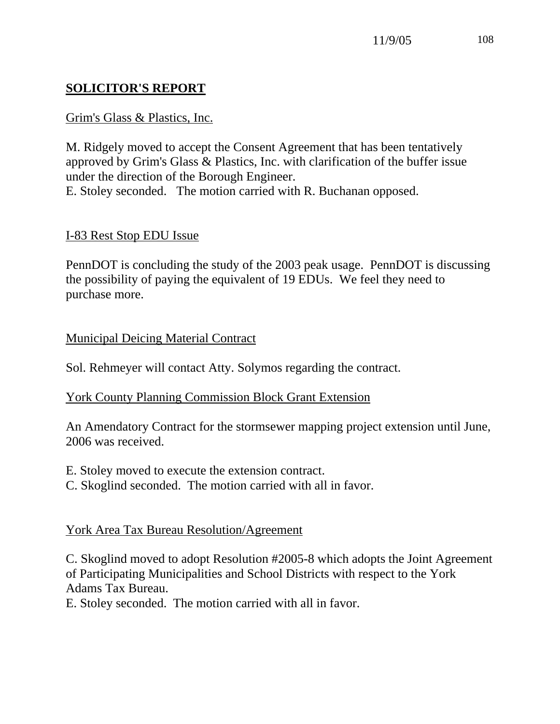# **SOLICITOR'S REPORT**

## Grim's Glass & Plastics, Inc.

M. Ridgely moved to accept the Consent Agreement that has been tentatively approved by Grim's Glass & Plastics, Inc. with clarification of the buffer issue under the direction of the Borough Engineer.

E. Stoley seconded. The motion carried with R. Buchanan opposed.

## I-83 Rest Stop EDU Issue

PennDOT is concluding the study of the 2003 peak usage. PennDOT is discussing the possibility of paying the equivalent of 19 EDUs. We feel they need to purchase more.

## Municipal Deicing Material Contract

Sol. Rehmeyer will contact Atty. Solymos regarding the contract.

## York County Planning Commission Block Grant Extension

An Amendatory Contract for the stormsewer mapping project extension until June, 2006 was received.

- E. Stoley moved to execute the extension contract.
- C. Skoglind seconded. The motion carried with all in favor.

# York Area Tax Bureau Resolution/Agreement

C. Skoglind moved to adopt Resolution #2005-8 which adopts the Joint Agreement of Participating Municipalities and School Districts with respect to the York Adams Tax Bureau.

E. Stoley seconded. The motion carried with all in favor.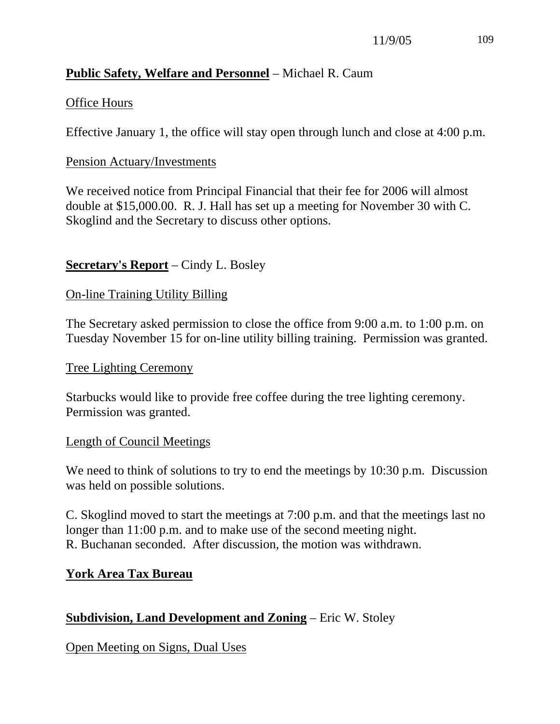# **Public Safety, Welfare and Personnel** – Michael R. Caum

## Office Hours

Effective January 1, the office will stay open through lunch and close at 4:00 p.m.

#### Pension Actuary/Investments

We received notice from Principal Financial that their fee for 2006 will almost double at \$15,000.00. R. J. Hall has set up a meeting for November 30 with C. Skoglind and the Secretary to discuss other options.

## **Secretary's Report** – Cindy L. Bosley

## On-line Training Utility Billing

The Secretary asked permission to close the office from 9:00 a.m. to 1:00 p.m. on Tuesday November 15 for on-line utility billing training. Permission was granted.

#### Tree Lighting Ceremony

Starbucks would like to provide free coffee during the tree lighting ceremony. Permission was granted.

## Length of Council Meetings

We need to think of solutions to try to end the meetings by 10:30 p.m. Discussion was held on possible solutions.

C. Skoglind moved to start the meetings at 7:00 p.m. and that the meetings last no longer than 11:00 p.m. and to make use of the second meeting night. R. Buchanan seconded. After discussion, the motion was withdrawn.

## **York Area Tax Bureau**

# **Subdivision, Land Development and Zoning** – Eric W. Stoley

Open Meeting on Signs, Dual Uses